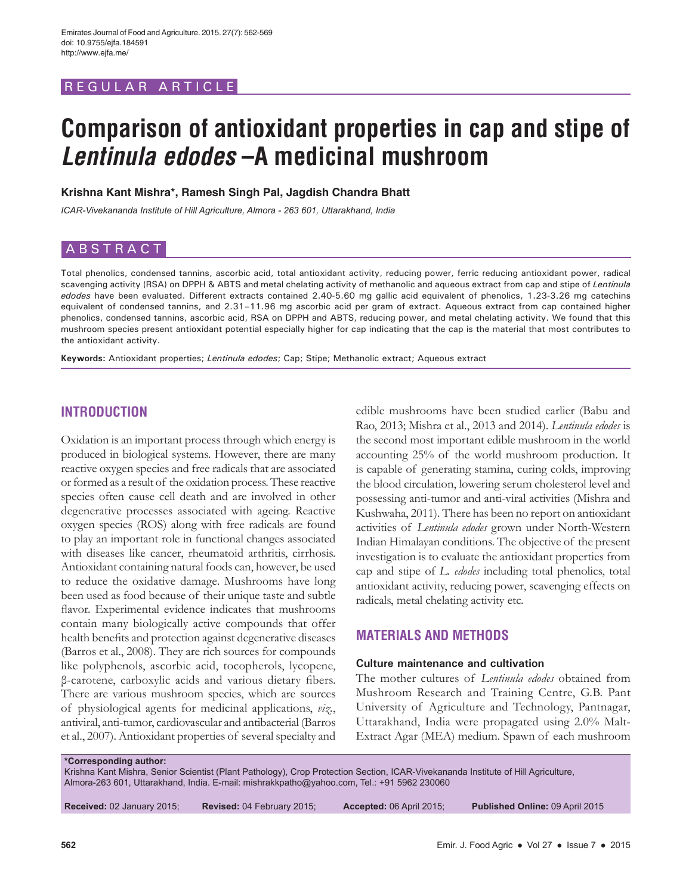# REGULAR ARTICLE

# **Comparison of antioxidant properties in cap and stipe of**  *Lentinula edodes* **–A medicinal mushroom**

**Krishna Kant Mishra\*, Ramesh Singh Pal, Jagdish Chandra Bhatt**

*ICAR-Vivekananda Institute of Hill Agriculture, Almora - 263 601, Uttarakhand, India*

# ABSTRACT

Total phenolics, condensed tannins, ascorbic acid, total antioxidant activity, reducing power, ferric reducing antioxidant power, radical scavenging activity (RSA) on DPPH & ABTS and metal chelating activity of methanolic and aqueous extract from cap and stipe of *Lentinula edodes* have been evaluated. Different extracts contained 2.40-5.60 mg gallic acid equivalent of phenolics, 1.23-3.26 mg catechins equivalent of condensed tannins, and 2.31–11.96 mg ascorbic acid per gram of extract. Aqueous extract from cap contained higher phenolics, condensed tannins, ascorbic acid, RSA on DPPH and ABTS, reducing power, and metal chelating activity. We found that this mushroom species present antioxidant potential especially higher for cap indicating that the cap is the material that most contributes to the antioxidant activity.

**Keywords:** Antioxidant properties; *Lentinula edodes*; Cap; Stipe; Methanolic extract; Aqueous extract

# **INTRODUCTION**

Oxidation is an important process through which energy is produced in biological systems. However, there are many reactive oxygen species and free radicals that are associated or formed as a result of the oxidation process. These reactive species often cause cell death and are involved in other degenerative processes associated with ageing. Reactive oxygen species (ROS) along with free radicals are found to play an important role in functional changes associated with diseases like cancer, rheumatoid arthritis, cirrhosis. Antioxidant containing natural foods can, however, be used to reduce the oxidative damage. Mushrooms have long been used as food because of their unique taste and subtle flavor. Experimental evidence indicates that mushrooms contain many biologically active compounds that offer health benefits and protection against degenerative diseases (Barros et al., 2008). They are rich sources for compounds like polyphenols, ascorbic acid, tocopherols, lycopene, β-carotene, carboxylic acids and various dietary fibers. There are various mushroom species, which are sources of physiological agents for medicinal applications, *viz.*, antiviral, anti-tumor, cardiovascular and antibacterial (Barros et al., 2007). Antioxidant properties of several specialty and edible mushrooms have been studied earlier (Babu and Rao, 2013; Mishra et al., 2013 and 2014). *Lentinula edodes* is the second most important edible mushroom in the world accounting 25% of the world mushroom production. It is capable of generating stamina, curing colds, improving the blood circulation, lowering serum cholesterol level and possessing anti-tumor and anti-viral activities (Mishra and Kushwaha, 2011). There has been no report on antioxidant activities of *Lentinula edodes* grown under North-Western Indian Himalayan conditions. The objective of the present investigation is to evaluate the antioxidant properties from cap and stipe of *L. edodes* including total phenolics, total antioxidant activity, reducing power, scavenging effects on radicals, metal chelating activity etc.

# **MATERIALS AND METHODS**

## **Culture maintenance and cultivation**

The mother cultures of *Lentinula edodes* obtained from Mushroom Research and Training Centre, G.B. Pant University of Agriculture and Technology, Pantnagar, Uttarakhand, India were propagated using 2.0% Malt-Extract Agar (MEA) medium. Spawn of each mushroom

**\*Corresponding author:** Krishna Kant Mishra, Senior Scientist (Plant Pathology), Crop Protection Section, ICAR-Vivekananda Institute of Hill Agriculture, Almora-263 601, Uttarakhand, India. E-mail: mishrakkpatho@yahoo.com, Tel.: +91 5962 230060

**Received:** 02 January 2015; **Revised:** 04 February 2015; **Accepted:** 06 April 2015; **Published Online:** 09 April 2015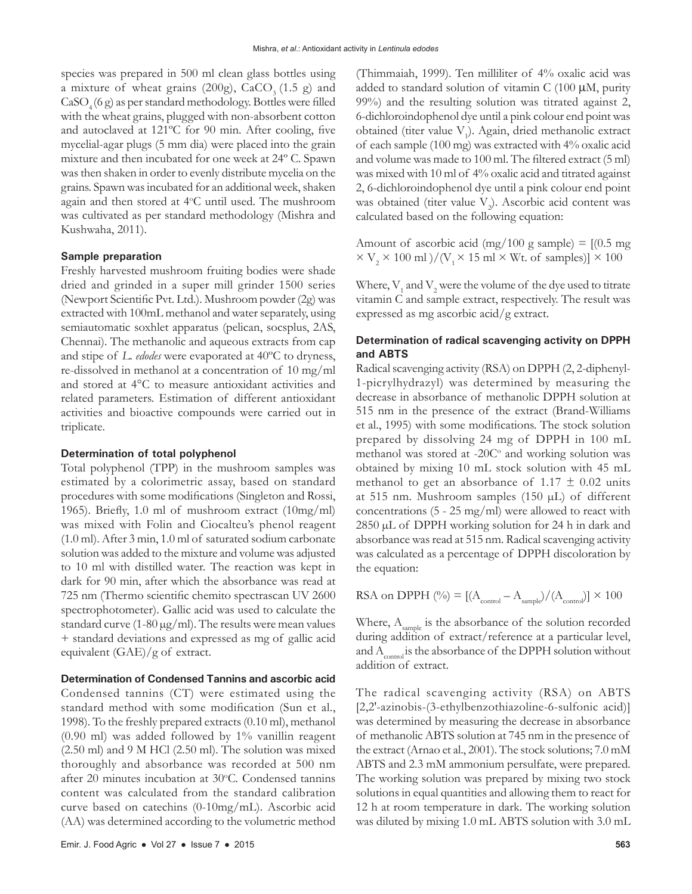species was prepared in 500 ml clean glass bottles using a mixture of wheat grains  $(200g)$ , CaCO<sub>3</sub>  $(1.5 g)$  and  $CaSO<sub>4</sub>(6 g)$  as per standard methodology. Bottles were filled with the wheat grains, plugged with non-absorbent cotton and autoclaved at 121ºC for 90 min. After cooling, five mycelial-agar plugs (5 mm dia) were placed into the grain mixture and then incubated for one week at 24º C. Spawn was then shaken in order to evenly distribute mycelia on the grains. Spawn was incubated for an additional week, shaken again and then stored at 4°C until used. The mushroom was cultivated as per standard methodology (Mishra and Kushwaha, 2011).

#### **Sample preparation**

Freshly harvested mushroom fruiting bodies were shade dried and grinded in a super mill grinder 1500 series (Newport Scientific Pvt. Ltd.). Mushroom powder (2g) was extracted with 100mL methanol and water separately, using semiautomatic soxhlet apparatus (pelican, socsplus, 2AS, Chennai). The methanolic and aqueous extracts from cap and stipe of *L. edodes* were evaporated at 40ºC to dryness, re-dissolved in methanol at a concentration of 10 mg/ml and stored at 4°C to measure antioxidant activities and related parameters. Estimation of different antioxidant activities and bioactive compounds were carried out in triplicate.

#### **Determination of total polyphenol**

Total polyphenol (TPP) in the mushroom samples was estimated by a colorimetric assay, based on standard procedures with some modifications (Singleton and Rossi, 1965). Briefly, 1.0 ml of mushroom extract (10mg/ml) was mixed with Folin and Ciocalteu's phenol reagent (1.0 ml). After 3 min, 1.0 ml of saturated sodium carbonate solution was added to the mixture and volume was adjusted to 10 ml with distilled water. The reaction was kept in dark for 90 min, after which the absorbance was read at 725 nm (Thermo scientific chemito spectrascan UV 2600 spectrophotometer). Gallic acid was used to calculate the standard curve  $(1-80 \mu g/ml)$ . The results were mean values + standard deviations and expressed as mg of gallic acid equivalent (GAE)/g of extract.

#### **Determination of Condensed Tannins and ascorbic acid**

Condensed tannins (CT) were estimated using the standard method with some modification (Sun et al., 1998). To the freshly prepared extracts (0.10 ml), methanol  $(0.90 \text{ ml})$  was added followed by  $1\%$  vanillin reagent (2.50 ml) and 9 M HCl (2.50 ml). The solution was mixed thoroughly and absorbance was recorded at 500 nm after 20 minutes incubation at 30°C. Condensed tannins content was calculated from the standard calibration curve based on catechins (0-10mg/mL). Ascorbic acid (AA) was determined according to the volumetric method

(Thimmaiah, 1999). Ten milliliter of 4% oxalic acid was added to standard solution of vitamin C (100  $\mu$ M, purity 99%) and the resulting solution was titrated against 2, 6-dichloroindophenol dye until a pink colour end point was obtained (titer value V<sub>1</sub>). Again, dried methanolic extract of each sample (100 mg) was extracted with 4% oxalic acid and volume was made to 100 ml. The filtered extract (5 ml) was mixed with 10 ml of 4% oxalic acid and titrated against 2, 6-dichloroindophenol dye until a pink colour end point was obtained (titer value  $V_2$ ). Ascorbic acid content was calculated based on the following equation:

Amount of ascorbic acid (mg/100 g sample) =  $[(0.5 \text{ mg})]$  $\times$  V<sub>2</sub>  $\times$  100 ml  $)/(V_1 \times 15$  ml  $\times$  Wt. of samples)]  $\times$  100

Where,  $\mathrm{V}_\mathrm{1}$  and  $\mathrm{V}_\mathrm{2}$  were the volume of the dye used to titrate vitamin C and sample extract, respectively. The result was expressed as mg ascorbic acid/g extract.

# **Determination of radical scavenging activity on DPPH and ABTS**

Radical scavenging activity (RSA) on DPPH (2, 2-diphenyl-1-picrylhydrazyl) was determined by measuring the decrease in absorbance of methanolic DPPH solution at 515 nm in the presence of the extract (Brand-Williams et al., 1995) with some modifications. The stock solution prepared by dissolving 24 mg of DPPH in 100 mL methanol was stored at -20C° and working solution was obtained by mixing 10 mL stock solution with 45 mL methanol to get an absorbance of  $1.17 \pm 0.02$  units at 515 nm. Mushroom samples (150  $\mu$ L) of different concentrations  $(5 - 25 \text{ mg/ml})$  were allowed to react with 2850 µL of DPPH working solution for 24 h in dark and absorbance was read at 515 nm. Radical scavenging activity was calculated as a percentage of DPPH discoloration by the equation:

RSA on DPPH (%) = 
$$
[(A_{\text{control}} - A_{\text{sample}})/(A_{\text{control}})] \times 100
$$

Where,  $A_{\text{sample}}$  is the absorbance of the solution recorded during addition of extract/reference at a particular level, and  $A_{\text{control}}$  is the absorbance of the DPPH solution without addition of extract.

The radical scavenging activity (RSA) on ABTS [2,2′-azinobis-(3-ethylbenzothiazoline-6-sulfonic acid)] was determined by measuring the decrease in absorbance of methanolic ABTS solution at 745 nm in the presence of the extract (Arnao et al., 2001). The stock solutions; 7.0 mM ABTS and 2.3 mM ammonium persulfate, were prepared. The working solution was prepared by mixing two stock solutions in equal quantities and allowing them to react for 12 h at room temperature in dark. The working solution was diluted by mixing 1.0 mL ABTS solution with 3.0 mL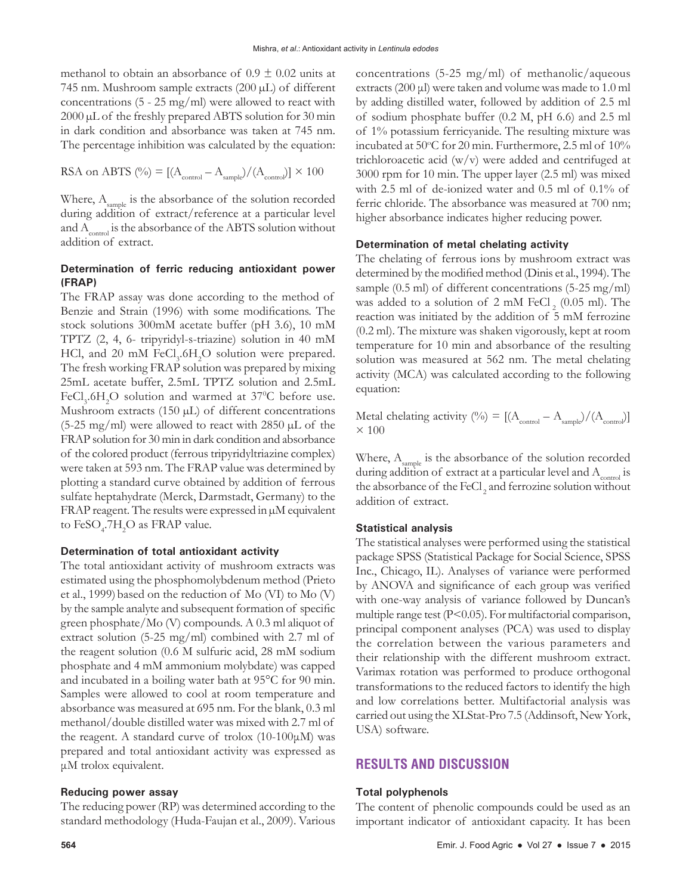methanol to obtain an absorbance of  $0.9 \pm 0.02$  units at 745 nm. Mushroom sample extracts (200 µL) of different concentrations (5 - 25 mg/ml) were allowed to react with 2000 µL of the freshly prepared ABTS solution for 30 min in dark condition and absorbance was taken at 745 nm. The percentage inhibition was calculated by the equation:

RSA on ABTS (%) = 
$$
[(A_{\text{control}} - A_{\text{sample}})/(A_{\text{control}})] \times 100
$$

Where,  $A_{\text{sample}}$  is the absorbance of the solution recorded during addition of extract/reference at a particular level and  $A_{control}$  is the absorbance of the ABTS solution without addition of extract.

## **Determination of ferric reducing antioxidant power (FRAP)**

The FRAP assay was done according to the method of Benzie and Strain (1996) with some modifications. The stock solutions 300mM acetate buffer (pH 3.6), 10 mM TPTZ (2, 4, 6- tripyridyl-s-triazine) solution in 40 mM HCl, and 20 mM FeCl<sub>3</sub>.6H<sub>2</sub>O solution were prepared. The fresh working FRAP solution was prepared by mixing 25mL acetate buffer, 2.5mL TPTZ solution and 2.5mL FeCl<sub>3</sub>.6H<sub>2</sub>O solution and warmed at 37<sup>o</sup>C before use. Mushroom extracts (150  $\mu$ L) of different concentrations (5-25 mg/ml) were allowed to react with 2850  $\mu$ L of the FRAP solution for 30 min in dark condition and absorbance of the colored product (ferrous tripyridyltriazine complex) were taken at 593 nm. The FRAP value was determined by plotting a standard curve obtained by addition of ferrous sulfate heptahydrate (Merck, Darmstadt, Germany) to the FRAP reagent. The results were expressed in  $\mu$ M equivalent to  $\text{FeSO}_4\text{-}7\text{H}_2\text{O}$  as FRAP value.

## **Determination of total antioxidant activity**

The total antioxidant activity of mushroom extracts was estimated using the phosphomolybdenum method (Prieto et al., 1999) based on the reduction of Mo (VI) to Mo (V) by the sample analyte and subsequent formation of specific green phosphate/Mo (V) compounds. A 0.3 ml aliquot of extract solution  $(5-25 \text{ mg/ml})$  combined with 2.7 ml of the reagent solution (0.6 M sulfuric acid, 28 mM sodium phosphate and 4 mM ammonium molybdate) was capped and incubated in a boiling water bath at 95°C for 90 min. Samples were allowed to cool at room temperature and absorbance was measured at 695 nm. For the blank, 0.3 ml methanol/double distilled water was mixed with 2.7 ml of the reagent. A standard curve of trolox  $(10-100\mu)$  was prepared and total antioxidant activity was expressed as μM trolox equivalent.

#### **Reducing power assay**

The reducing power (RP) was determined according to the standard methodology (Huda-Faujan et al., 2009). Various concentrations (5-25 mg/ml) of methanolic/aqueous extracts (200 μl) were taken and volume was made to 1.0 ml by adding distilled water, followed by addition of 2.5 ml of sodium phosphate buffer (0.2 M, pH 6.6) and 2.5 ml of 1% potassium ferricyanide. The resulting mixture was incubated at 50°C for 20 min. Furthermore, 2.5 ml of 10% trichloroacetic acid (w/v) were added and centrifuged at 3000 rpm for 10 min. The upper layer (2.5 ml) was mixed with 2.5 ml of de-ionized water and 0.5 ml of 0.1% of ferric chloride. The absorbance was measured at 700 nm; higher absorbance indicates higher reducing power.

#### **Determination of metal chelating activity**

The chelating of ferrous ions by mushroom extract was determined by the modified method (Dinis et al., 1994). The sample (0.5 ml) of different concentrations (5-25 mg/ml) was added to a solution of 2 mM FeCl<sub>2</sub> (0.05 ml). The reaction was initiated by the addition of 5 mM ferrozine (0.2 ml). The mixture was shaken vigorously, kept at room temperature for 10 min and absorbance of the resulting solution was measured at 562 nm. The metal chelating activity (MCA) was calculated according to the following equation:

Metal chelating activity (%) =  $[(A_{control} - A_{sample})/(A_{control})]$  $\times$  100

Where,  $A_{sample}$  is the absorbance of the solution recorded during addition of extract at a particular level and  $A_{control}$  is the absorbance of the FeCl<sub>2</sub> and ferrozine solution without addition of extract.

#### **Statistical analysis**

The statistical analyses were performed using the statistical package SPSS (Statistical Package for Social Science, SPSS Inc., Chicago, IL). Analyses of variance were performed by ANOVA and significance of each group was verified with one-way analysis of variance followed by Duncan's multiple range test (P<0.05). For multifactorial comparison, principal component analyses (PCA) was used to display the correlation between the various parameters and their relationship with the different mushroom extract. Varimax rotation was performed to produce orthogonal transformations to the reduced factors to identify the high and low correlations better. Multifactorial analysis was carried out using the XLStat-Pro 7.5 (Addinsoft, New York, USA) software.

# **RESULTS AND DISCUSSION**

#### **Total polyphenols**

The content of phenolic compounds could be used as an important indicator of antioxidant capacity. It has been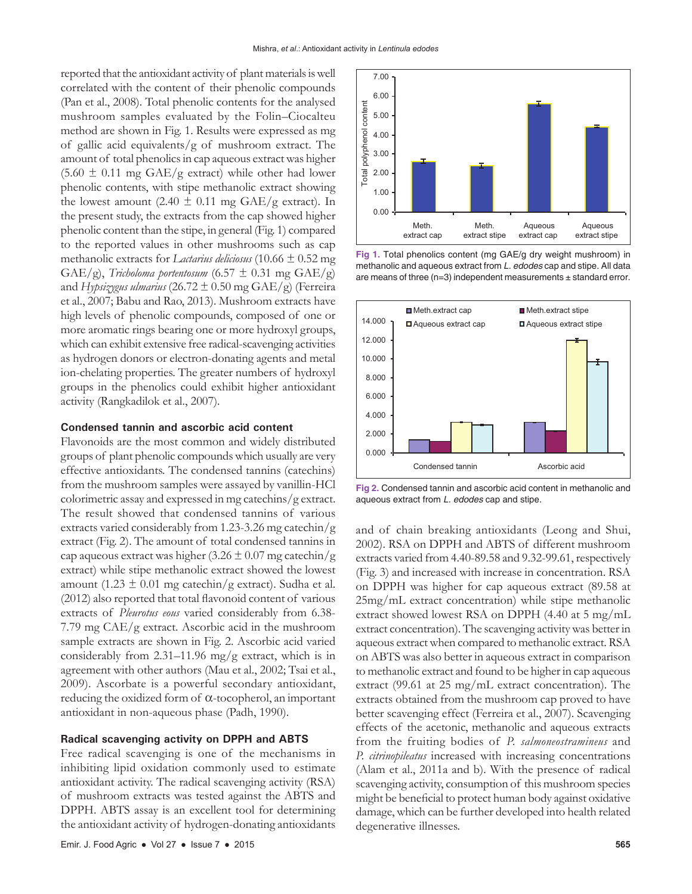reported that the antioxidant activity of plant materials is well correlated with the content of their phenolic compounds (Pan et al., 2008). Total phenolic contents for the analysed mushroom samples evaluated by the Folin–Ciocalteu method are shown in Fig. 1. Results were expressed as mg of gallic acid equivalents/g of mushroom extract. The amount of total phenolics in cap aqueous extract was higher  $(5.60 \pm 0.11 \text{ mg } GAE/g \text{ extract})$  while other had lower phenolic contents, with stipe methanolic extract showing the lowest amount (2.40  $\pm$  0.11 mg GAE/g extract). In the present study, the extracts from the cap showed higher phenolic content than the stipe, in general (Fig. 1) compared to the reported values in other mushrooms such as cap methanolic extracts for *Lactarius deliciosus* (10.66 ± 0.52 mg GAE/g), *Tricholoma portentosum* (6.57  $\pm$  0.31 mg GAE/g) and *Hypsizygus ulmarius* (26.72 ± 0.50 mg GAE/g) (Ferreira et al., 2007; Babu and Rao, 2013). Mushroom extracts have high levels of phenolic compounds, composed of one or more aromatic rings bearing one or more hydroxyl groups, which can exhibit extensive free radical-scavenging activities as hydrogen donors or electron-donating agents and metal ion-chelating properties. The greater numbers of hydroxyl groups in the phenolics could exhibit higher antioxidant activity (Rangkadilok et al., 2007).

#### **Condensed tannin and ascorbic acid content**

Flavonoids are the most common and widely distributed groups of plant phenolic compounds which usually are very effective antioxidants. The condensed tannins (catechins) from the mushroom samples were assayed by vanillin-HCl colorimetric assay and expressed in mg catechins/g extract. The result showed that condensed tannins of various extracts varied considerably from 1.23-3.26 mg catechin/g extract (Fig. 2). The amount of total condensed tannins in cap aqueous extract was higher (3.26  $\pm$  0.07 mg catechin/g extract) while stipe methanolic extract showed the lowest amount (1.23  $\pm$  0.01 mg catechin/g extract). Sudha et al. (2012) also reported that total flavonoid content of various extracts of *Pleurotus eous* varied considerably from 6.38- 7.79 mg CAE/g extract. Ascorbic acid in the mushroom sample extracts are shown in Fig. 2. Ascorbic acid varied considerably from 2.31–11.96 mg/g extract, which is in agreement with other authors (Mau et al., 2002; Tsai et al., 2009). Ascorbate is a powerful secondary antioxidant, reducing the oxidized form of  $\alpha$ -tocopherol, an important antioxidant in non-aqueous phase (Padh, 1990).

#### **Radical scavenging activity on DPPH and ABTS**

Free radical scavenging is one of the mechanisms in inhibiting lipid oxidation commonly used to estimate antioxidant activity. The radical scavenging activity (RSA) of mushroom extracts was tested against the ABTS and DPPH. ABTS assay is an excellent tool for determining the antioxidant activity of hydrogen-donating antioxidants



**Fig 1.** Total phenolics content (mg GAE/g dry weight mushroom) in methanolic and aqueous extract from *L. edodes* cap and stipe. All data are means of three (n=3) independent measurements ± standard error.



**Fig 2.** Condensed tannin and ascorbic acid content in methanolic and aqueous extract from *L. edodes* cap and stipe.

and of chain breaking antioxidants (Leong and Shui, 2002). RSA on DPPH and ABTS of different mushroom extracts varied from 4.40-89.58 and 9.32-99.61, respectively (Fig. 3) and increased with increase in concentration. RSA on DPPH was higher for cap aqueous extract (89.58 at 25mg/mL extract concentration) while stipe methanolic extract showed lowest RSA on DPPH (4.40 at 5 mg/mL extract concentration). The scavenging activity was better in aqueous extract when compared to methanolic extract. RSA on ABTS was also better in aqueous extract in comparison to methanolic extract and found to be higher in cap aqueous extract (99.61 at 25 mg/mL extract concentration). The extracts obtained from the mushroom cap proved to have better scavenging effect (Ferreira et al., 2007). Scavenging effects of the acetonic, methanolic and aqueous extracts from the fruiting bodies of *P. salmoneostramineus* and *P. citrinopileatus* increased with increasing concentrations (Alam et al., 2011a and b). With the presence of radical scavenging activity, consumption of this mushroom species might be beneficial to protect human body against oxidative damage, which can be further developed into health related degenerative illnesses.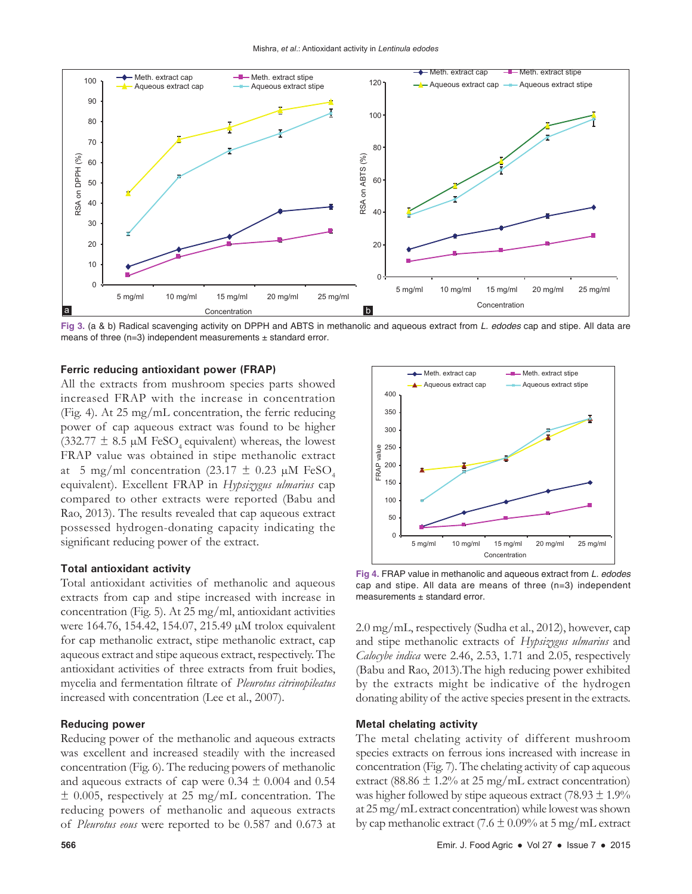

**Fig 3.** (a & b) Radical scavenging activity on DPPH and ABTS in methanolic and aqueous extract from *L. edodes* cap and stipe. All data are means of three (n=3) independent measurements  $\pm$  standard error.

#### **Ferric reducing antioxidant power (FRAP)**

All the extracts from mushroom species parts showed increased FRAP with the increase in concentration (Fig. 4). At 25 mg/mL concentration, the ferric reducing power of cap aqueous extract was found to be higher  $(332.77 \pm 8.5 \mu M \text{ FeSO}_4 \text{ equivalent})$  whereas, the lowest FRAP value was obtained in stipe methanolic extract at 5 mg/ml concentration (23.17  $\pm$  0.23  $\mu$ M FeSO<sub>4</sub> equivalent). Excellent FRAP in *Hypsizygus ulmarius* cap compared to other extracts were reported (Babu and Rao, 2013). The results revealed that cap aqueous extract possessed hydrogen-donating capacity indicating the significant reducing power of the extract.

#### **Total antioxidant activity**

Total antioxidant activities of methanolic and aqueous extracts from cap and stipe increased with increase in concentration (Fig. 5). At 25 mg/ml, antioxidant activities were 164.76, 154.42, 154.07, 215.49 µM trolox equivalent for cap methanolic extract, stipe methanolic extract, cap aqueous extract and stipe aqueous extract, respectively. The antioxidant activities of three extracts from fruit bodies, mycelia and fermentation filtrate of *Pleurotus citrinopileatus* increased with concentration (Lee et al., 2007).

#### **Reducing power**

Reducing power of the methanolic and aqueous extracts was excellent and increased steadily with the increased concentration (Fig. 6). The reducing powers of methanolic and aqueous extracts of cap were  $0.34 \pm 0.004$  and  $0.54$  $±$  0.005, respectively at 25 mg/mL concentration. The reducing powers of methanolic and aqueous extracts of *Pleurotus eous* were reported to be 0.587 and 0.673 at

![](_page_4_Figure_10.jpeg)

**Fig 4.** FRAP value in methanolic and aqueous extract from *L. edodes* cap and stipe. All data are means of three (n=3) independent measurements ± standard error.

2.0 mg/mL, respectively (Sudha et al., 2012), however, cap and stipe methanolic extracts of *Hypsizygus ulmarius* and *Calocybe indica* were 2.46, 2.53, 1.71 and 2.05, respectively (Babu and Rao, 2013).The high reducing power exhibited by the extracts might be indicative of the hydrogen donating ability of the active species present in the extracts.

#### **Metal chelating activity**

The metal chelating activity of different mushroom species extracts on ferrous ions increased with increase in concentration (Fig. 7). The chelating activity of cap aqueous extract (88.86  $\pm$  1.2% at 25 mg/mL extract concentration) was higher followed by stipe aqueous extract (78.93  $\pm$  1.9%) at 25 mg/mL extract concentration) while lowest was shown by cap methanolic extract (7.6  $\pm$  0.09% at 5 mg/mL extract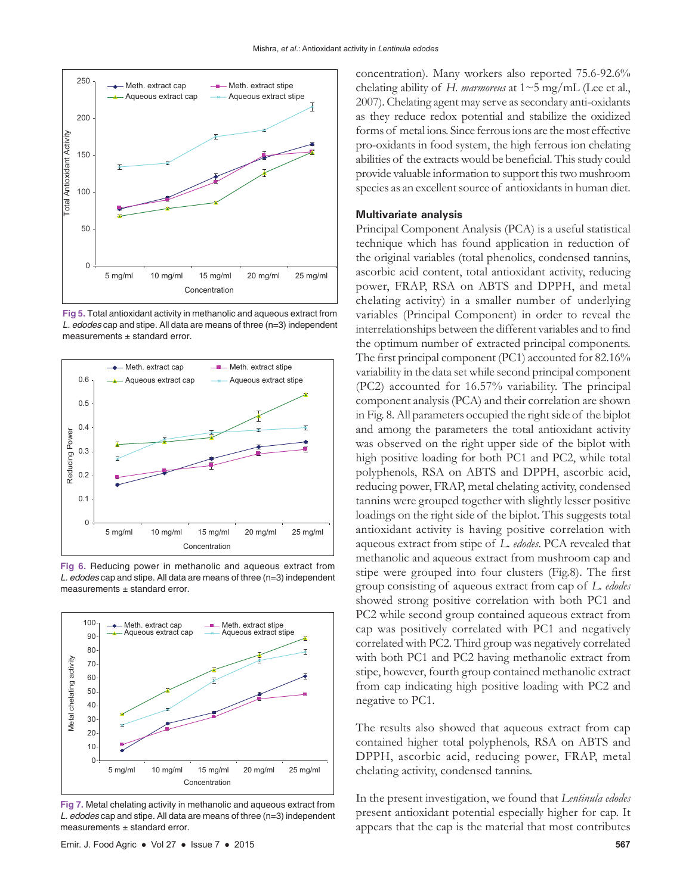![](_page_5_Figure_1.jpeg)

**Fig 5.** Total antioxidant activity in methanolic and aqueous extract from *L. edodes* cap and stipe. All data are means of three (n=3) independent measurements ± standard error.

![](_page_5_Figure_3.jpeg)

**Fig 6.** Reducing power in methanolic and aqueous extract from *L. edodes* cap and stipe. All data are means of three (n=3) independent measurements ± standard error.

![](_page_5_Figure_5.jpeg)

**Fig 7.** Metal chelating activity in methanolic and aqueous extract from *L. edodes* cap and stipe. All data are means of three (n=3) independent measurements  $\pm$  standard error.

concentration). Many workers also reported 75.6-92.6% chelating ability of *H. marmoreus* at 1~5 mg/mL (Lee et al., 2007). Chelating agent may serve as secondary anti-oxidants as they reduce redox potential and stabilize the oxidized forms of metal ions. Since ferrous ions are the most effective pro-oxidants in food system, the high ferrous ion chelating abilities of the extracts would be beneficial. This study could provide valuable information to support this two mushroom species as an excellent source of antioxidants in human diet.

#### **Multivariate analysis**

Principal Component Analysis (PCA) is a useful statistical technique which has found application in reduction of the original variables (total phenolics, condensed tannins, ascorbic acid content, total antioxidant activity, reducing power, FRAP, RSA on ABTS and DPPH, and metal chelating activity) in a smaller number of underlying variables (Principal Component) in order to reveal the interrelationships between the different variables and to find the optimum number of extracted principal components. The first principal component (PC1) accounted for 82.16% variability in the data set while second principal component (PC2) accounted for 16.57% variability. The principal component analysis (PCA) and their correlation are shown in Fig. 8. All parameters occupied the right side of the biplot and among the parameters the total antioxidant activity was observed on the right upper side of the biplot with high positive loading for both PC1 and PC2, while total polyphenols, RSA on ABTS and DPPH, ascorbic acid, reducing power, FRAP, metal chelating activity, condensed tannins were grouped together with slightly lesser positive loadings on the right side of the biplot. This suggests total antioxidant activity is having positive correlation with aqueous extract from stipe of *L. edodes*. PCA revealed that methanolic and aqueous extract from mushroom cap and stipe were grouped into four clusters (Fig.8). The first group consisting of aqueous extract from cap of *L. edodes*  showed strong positive correlation with both PC1 and PC2 while second group contained aqueous extract from cap was positively correlated with PC1 and negatively correlated with PC2. Third group was negatively correlated with both PC1 and PC2 having methanolic extract from stipe, however, fourth group contained methanolic extract from cap indicating high positive loading with PC2 and negative to PC1.

The results also showed that aqueous extract from cap contained higher total polyphenols, RSA on ABTS and DPPH, ascorbic acid, reducing power, FRAP, metal chelating activity, condensed tannins.

In the present investigation, we found that *Lentinula edodes* present antioxidant potential especially higher for cap. It appears that the cap is the material that most contributes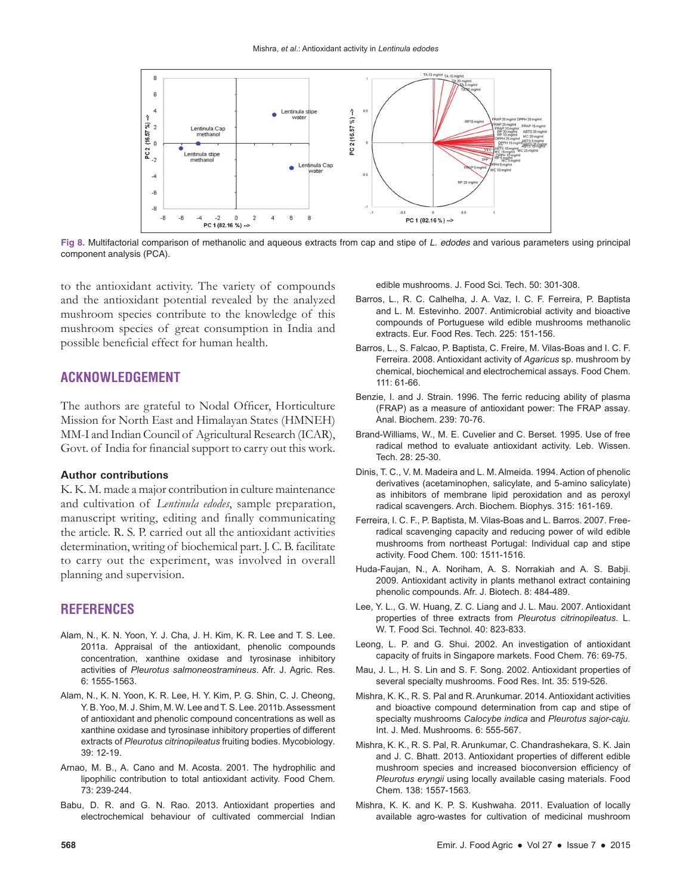![](_page_6_Figure_1.jpeg)

**Fig 8.** Multifactorial comparison of methanolic and aqueous extracts from cap and stipe of *L. edodes* and various parameters using principal component analysis (PCA).

to the antioxidant activity. The variety of compounds and the antioxidant potential revealed by the analyzed mushroom species contribute to the knowledge of this mushroom species of great consumption in India and possible beneficial effect for human health.

# **ACKNOWLEDGEMENT**

The authors are grateful to Nodal Officer, Horticulture Mission for North East and Himalayan States (HMNEH) MM-I and Indian Council of Agricultural Research (ICAR), Govt. of India for financial support to carry out this work.

#### **Author contributions**

K. K. M. made a major contribution in culture maintenance and cultivation of *Lentinula edodes*, sample preparation, manuscript writing, editing and finally communicating the article. R. S. P. carried out all the antioxidant activities determination, writing of biochemical part. J. C. B. facilitate to carry out the experiment, was involved in overall planning and supervision.

# **REFERENCES**

- Alam, N., K. N. Yoon, Y. J. Cha, J. H. Kim, K. R. Lee and T. S. Lee. 2011a. Appraisal of the antioxidant, phenolic compounds concentration, xanthine oxidase and tyrosinase inhibitory activities of *Pleurotus salmoneostramineus*. Afr. J. Agric. Res. 6: 1555-1563.
- Alam, N., K. N. Yoon, K. R. Lee, H. Y. Kim, P. G. Shin, C. J. Cheong, Y. B. Yoo, M. J. Shim, M. W. Lee and T. S. Lee. 2011b. Assessment of antioxidant and phenolic compound concentrations as well as xanthine oxidase and tyrosinase inhibitory properties of different extracts of *Pleurotus citrinopileatus* fruiting bodies. Mycobiology*.*  39: 12-19.
- Arnao, M. B., A. Cano and M. Acosta. 2001. The hydrophilic and lipophilic contribution to total antioxidant activity. Food Chem*.*  73: 239-244.
- Babu, D. R. and G. N. Rao. 2013. Antioxidant properties and electrochemical behaviour of cultivated commercial Indian

edible mushrooms. J. Food Sci. Tech. 50: 301-308.

- Barros, L., R. C. Calhelha, J. A. Vaz, I. C. F. Ferreira, P. Baptista and L. M. Estevinho. 2007. Antimicrobial activity and bioactive compounds of Portuguese wild edible mushrooms methanolic extracts. Eur. Food Res. Tech. 225: 151-156.
- Barros, L., S. Falcao, P. Baptista, C. Freire, M. Vilas-Boas and I. C. F. Ferreira. 2008. Antioxidant activity of *Agaricus* sp. mushroom by chemical, biochemical and electrochemical assays. Food Chem. 111: 61-66.
- Benzie, I. and J. Strain. 1996. The ferric reducing ability of plasma (FRAP) as a measure of antioxidant power: The FRAP assay*.*  Anal. Biochem. 239: 70-76.
- Brand-Williams, W., M. E. Cuvelier and C. Berset. 1995. Use of free radical method to evaluate antioxidant activity. Leb. Wissen. Tech. 28: 25-30.
- Dinis, T. C., V. M. Madeira and L. M. Almeida. 1994. Action of phenolic derivatives (acetaminophen, salicylate, and 5-amino salicylate) as inhibitors of membrane lipid peroxidation and as peroxyl radical scavengers. Arch. Biochem. Biophys. 315: 161-169.
- Ferreira, I. C. F., P. Baptista, M. Vilas-Boas and L. Barros. 2007. Freeradical scavenging capacity and reducing power of wild edible mushrooms from northeast Portugal: Individual cap and stipe activity. Food Chem. 100: 1511-1516.
- Huda-Faujan, N., A. Noriham, A. S. Norrakiah and A. S. Babji. 2009. Antioxidant activity in plants methanol extract containing phenolic compounds. Afr. J. Biotech. 8: 484-489.
- Lee, Y. L., G. W. Huang, Z. C. Liang and J. L. Mau. 2007. Antioxidant properties of three extracts from *Pleurotus citrinopileatus*. L. W. T. Food Sci. Technol. 40: 823-833.
- Leong, L. P. and G. Shui. 2002. An investigation of antioxidant capacity of fruits in Singapore markets. Food Chem. 76: 69-75.
- Mau, J. L., H. S. Lin and S. F. Song. 2002. Antioxidant properties of several specialty mushrooms. Food Res. Int. 35: 519-526.
- Mishra, K. K., R. S. Pal and R. Arunkumar. 2014. Antioxidant activities and bioactive compound determination from cap and stipe of specialty mushrooms *Calocybe indica* and *Pleurotus sajor-caju.*  Int. J. Med. Mushrooms*.* 6: 555-567.
- Mishra, K. K., R. S. Pal, R. Arunkumar, C. Chandrashekara, S. K. Jain and J. C. Bhatt. 2013. Antioxidant properties of different edible mushroom species and increased bioconversion efficiency of *Pleurotus eryngii* using locally available casing materials. Food Chem. 138: 1557-1563.
- Mishra, K. K. and K. P. S. Kushwaha. 2011. Evaluation of locally available agro-wastes for cultivation of medicinal mushroom